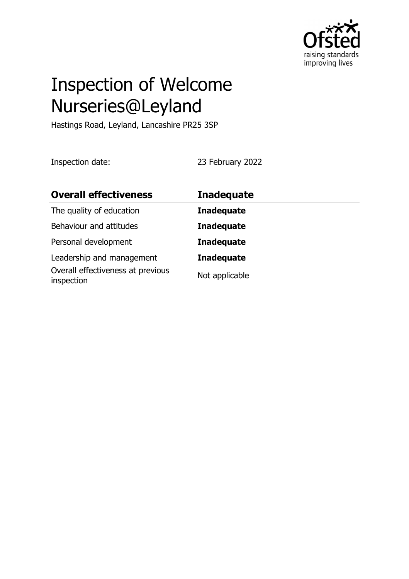

# Inspection of Welcome Nurseries@Leyland

Hastings Road, Leyland, Lancashire PR25 3SP

Inspection date: 23 February 2022

| <b>Overall effectiveness</b>                                                 | <b>Inadequate</b>                   |
|------------------------------------------------------------------------------|-------------------------------------|
| The quality of education                                                     | <b>Inadequate</b>                   |
| Behaviour and attitudes                                                      | <b>Inadequate</b>                   |
| Personal development                                                         | <b>Inadequate</b>                   |
| Leadership and management<br>Overall effectiveness at previous<br>inspection | <b>Inadequate</b><br>Not applicable |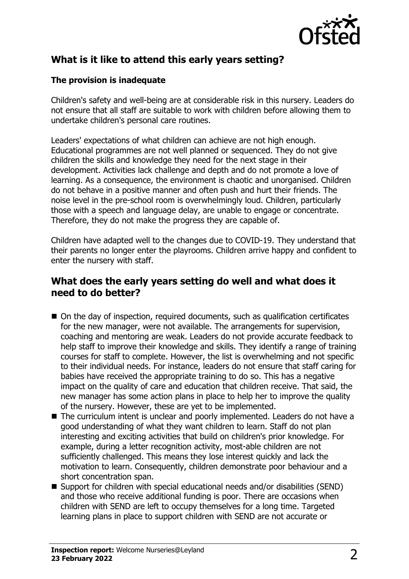

# **What is it like to attend this early years setting?**

#### **The provision is inadequate**

Children's safety and well-being are at considerable risk in this nursery. Leaders do not ensure that all staff are suitable to work with children before allowing them to undertake children's personal care routines.

Leaders' expectations of what children can achieve are not high enough. Educational programmes are not well planned or sequenced. They do not give children the skills and knowledge they need for the next stage in their development. Activities lack challenge and depth and do not promote a love of learning. As a consequence, the environment is chaotic and unorganised. Children do not behave in a positive manner and often push and hurt their friends. The noise level in the pre-school room is overwhelmingly loud. Children, particularly those with a speech and language delay, are unable to engage or concentrate. Therefore, they do not make the progress they are capable of.

Children have adapted well to the changes due to COVID-19. They understand that their parents no longer enter the playrooms. Children arrive happy and confident to enter the nursery with staff.

## **What does the early years setting do well and what does it need to do better?**

- On the day of inspection, required documents, such as qualification certificates for the new manager, were not available. The arrangements for supervision, coaching and mentoring are weak. Leaders do not provide accurate feedback to help staff to improve their knowledge and skills. They identify a range of training courses for staff to complete. However, the list is overwhelming and not specific to their individual needs. For instance, leaders do not ensure that staff caring for babies have received the appropriate training to do so. This has a negative impact on the quality of care and education that children receive. That said, the new manager has some action plans in place to help her to improve the quality of the nursery. However, these are yet to be implemented.
- The curriculum intent is unclear and poorly implemented. Leaders do not have a good understanding of what they want children to learn. Staff do not plan interesting and exciting activities that build on children's prior knowledge. For example, during a letter recognition activity, most-able children are not sufficiently challenged. This means they lose interest quickly and lack the motivation to learn. Consequently, children demonstrate poor behaviour and a short concentration span.
- $\blacksquare$  Support for children with special educational needs and/or disabilities (SEND) and those who receive additional funding is poor. There are occasions when children with SEND are left to occupy themselves for a long time. Targeted learning plans in place to support children with SEND are not accurate or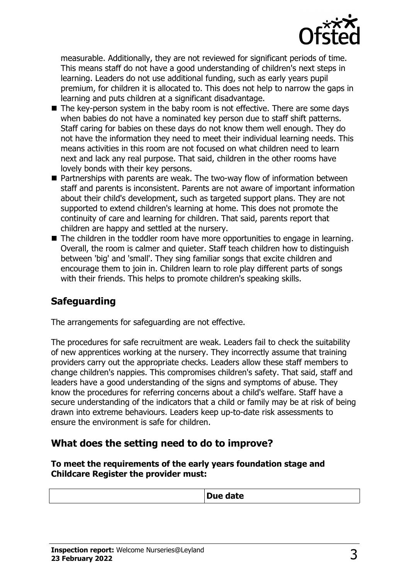

measurable. Additionally, they are not reviewed for significant periods of time. This means staff do not have a good understanding of children's next steps in learning. Leaders do not use additional funding, such as early years pupil premium, for children it is allocated to. This does not help to narrow the gaps in learning and puts children at a significant disadvantage.

- $\blacksquare$  The key-person system in the baby room is not effective. There are some days when babies do not have a nominated key person due to staff shift patterns. Staff caring for babies on these days do not know them well enough. They do not have the information they need to meet their individual learning needs. This means activities in this room are not focused on what children need to learn next and lack any real purpose. That said, children in the other rooms have lovely bonds with their key persons.
- $\blacksquare$  Partnerships with parents are weak. The two-way flow of information between staff and parents is inconsistent. Parents are not aware of important information about their child's development, such as targeted support plans. They are not supported to extend children's learning at home. This does not promote the continuity of care and learning for children. That said, parents report that children are happy and settled at the nursery.
- $\blacksquare$  The children in the toddler room have more opportunities to engage in learning. Overall, the room is calmer and quieter. Staff teach children how to distinguish between 'big' and 'small'. They sing familiar songs that excite children and encourage them to join in. Children learn to role play different parts of songs with their friends. This helps to promote children's speaking skills.

## **Safeguarding**

The arrangements for safeguarding are not effective.

The procedures for safe recruitment are weak. Leaders fail to check the suitability of new apprentices working at the nursery. They incorrectly assume that training providers carry out the appropriate checks. Leaders allow these staff members to change children's nappies. This compromises children's safety. That said, staff and leaders have a good understanding of the signs and symptoms of abuse. They know the procedures for referring concerns about a child's welfare. Staff have a secure understanding of the indicators that a child or family may be at risk of being drawn into extreme behaviours. Leaders keep up-to-date risk assessments to ensure the environment is safe for children.

## **What does the setting need to do to improve?**

**To meet the requirements of the early years foundation stage and Childcare Register the provider must:**

| <b>Due</b><br>- -<br>uale<br>- |
|--------------------------------|
|--------------------------------|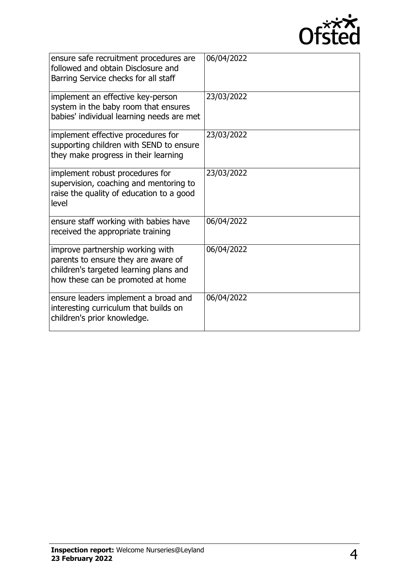

| ensure safe recruitment procedures are<br>followed and obtain Disclosure and<br>Barring Service checks for all staff                                   | 06/04/2022 |
|--------------------------------------------------------------------------------------------------------------------------------------------------------|------------|
| implement an effective key-person<br>system in the baby room that ensures<br>babies' individual learning needs are met                                 | 23/03/2022 |
| implement effective procedures for<br>supporting children with SEND to ensure<br>they make progress in their learning                                  | 23/03/2022 |
| implement robust procedures for<br>supervision, coaching and mentoring to<br>raise the quality of education to a good<br>level                         | 23/03/2022 |
| ensure staff working with babies have<br>received the appropriate training                                                                             | 06/04/2022 |
| improve partnership working with<br>parents to ensure they are aware of<br>children's targeted learning plans and<br>how these can be promoted at home | 06/04/2022 |
| ensure leaders implement a broad and<br>interesting curriculum that builds on<br>children's prior knowledge.                                           | 06/04/2022 |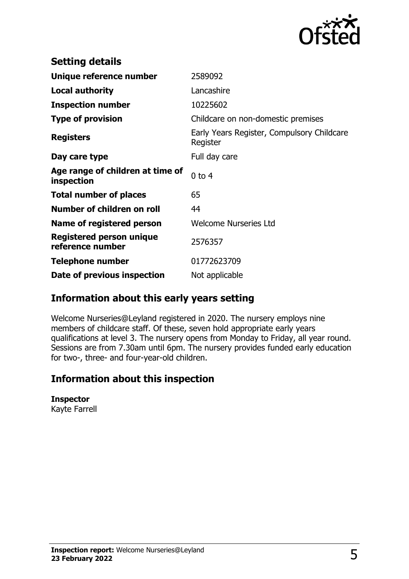

| <b>Setting details</b>                         |                                                        |
|------------------------------------------------|--------------------------------------------------------|
| Unique reference number                        | 2589092                                                |
| <b>Local authority</b>                         | Lancashire                                             |
| <b>Inspection number</b>                       | 10225602                                               |
| <b>Type of provision</b>                       | Childcare on non-domestic premises                     |
| <b>Registers</b>                               | Early Years Register, Compulsory Childcare<br>Register |
| Day care type                                  | Full day care                                          |
| Age range of children at time of<br>inspection | $0$ to $4$                                             |
| <b>Total number of places</b>                  | 65                                                     |
| Number of children on roll                     | 44                                                     |
| Name of registered person                      | <b>Welcome Nurseries Ltd</b>                           |
| Registered person unique<br>reference number   | 2576357                                                |
| <b>Telephone number</b>                        | 01772623709                                            |
| Date of previous inspection                    | Not applicable                                         |

## **Information about this early years setting**

Welcome Nurseries@Leyland registered in 2020. The nursery employs nine members of childcare staff. Of these, seven hold appropriate early years qualifications at level 3. The nursery opens from Monday to Friday, all year round. Sessions are from 7.30am until 6pm. The nursery provides funded early education for two-, three- and four-year-old children.

## **Information about this inspection**

#### **Inspector**

Kayte Farrell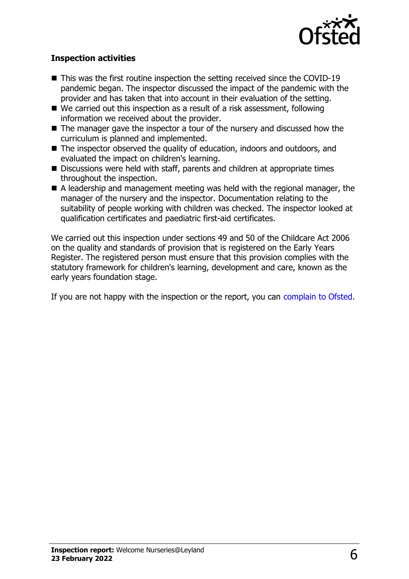

#### **Inspection activities**

- $\blacksquare$  This was the first routine inspection the setting received since the COVID-19 pandemic began. The inspector discussed the impact of the pandemic with the provider and has taken that into account in their evaluation of the setting.
- $\blacksquare$  We carried out this inspection as a result of a risk assessment, following information we received about the provider.
- $\blacksquare$  The manager gave the inspector a tour of the nursery and discussed how the curriculum is planned and implemented.
- The inspector observed the quality of education, indoors and outdoors, and evaluated the impact on children's learning.
- $\blacksquare$  Discussions were held with staff, parents and children at appropriate times throughout the inspection.
- $\blacksquare$  A leadership and management meeting was held with the regional manager, the manager of the nursery and the inspector. Documentation relating to the suitability of people working with children was checked. The inspector looked at qualification certificates and paediatric first-aid certificates.

We carried out this inspection under sections 49 and 50 of the Childcare Act 2006 on the quality and standards of provision that is registered on the Early Years Register. The registered person must ensure that this provision complies with the statutory framework for children's learning, development and care, known as the early years foundation stage.

If you are not happy with the inspection or the report, you can [complain to Ofsted](http://www.gov.uk/complain-ofsted-report).